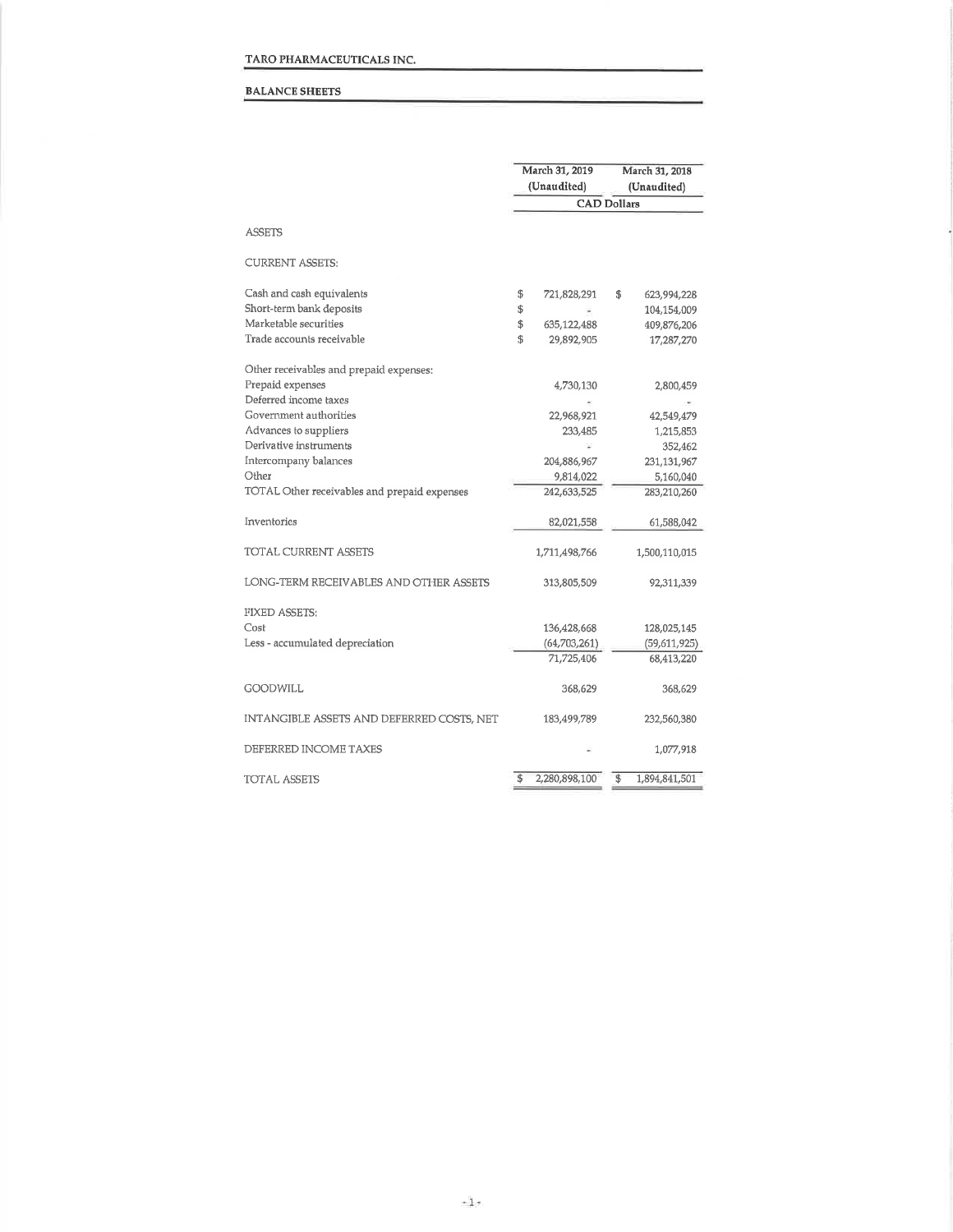#### BALANCE SHEETS

|                                              | March 31, 2019<br>(Unaudited) | March 31, 2018<br>(Unaudited) |               |  |
|----------------------------------------------|-------------------------------|-------------------------------|---------------|--|
|                                              | <b>CAD Dollars</b>            |                               |               |  |
| <b>ASSETS</b>                                |                               |                               |               |  |
| <b>CURRENT ASSETS:</b>                       |                               |                               |               |  |
| Cash and cash equivalents                    | \$<br>721,828,291             | \$                            | 623,994,228   |  |
| Short-term bank deposits                     | \$                            |                               | 104,154,009   |  |
| Marketable securities                        | \$<br>635,122,488             |                               | 409,876,206   |  |
| Trade accounts receivable                    | \$<br>29,892,905              |                               | 17,287,270    |  |
| Other receivables and prepaid expenses:      |                               |                               |               |  |
| Prepaid expenses                             | 4,730,130                     |                               | 2,800,459     |  |
| Deferred income taxes                        |                               |                               |               |  |
| Government authorities                       | 22,968,921                    |                               | 42,549,479    |  |
| Advances to suppliers                        | 233,485                       |                               | 1,215,853     |  |
| Derivative instruments                       |                               |                               | 352,462       |  |
| Intercompany balances                        | 204,886,967                   |                               | 231,131,967   |  |
| Other                                        | 9,814,022                     |                               | 5,160,040     |  |
| TOTAL Other receivables and prepaid expenses | 242,633,525                   |                               | 283,210,260   |  |
| Inventories                                  | 82,021,558                    |                               | 61,588,042    |  |
| TOTAL CURRENT ASSETS                         | 1,711,498,766                 |                               | 1,500,110,015 |  |
| LONG-TERM RECEIVABLES AND OTHER ASSETS       | 313,805,509                   |                               | 92,311,339    |  |
| <b>FIXED ASSETS:</b>                         |                               |                               |               |  |
| Cost                                         | 136,428,668                   |                               | 128,025,145   |  |
| Less - accumulated depreciation              | (64,703,261)                  |                               | (59,611,925)  |  |
|                                              | 71,725,406                    |                               | 68,413,220    |  |
| <b>GOODWILL</b>                              | 368,629                       |                               | 368,629       |  |
| INTANGIBLE ASSETS AND DEFERRED COSTS. NET    | 183,499,789                   |                               | 232,560,380   |  |
| DEFERRED INCOME TAXES                        |                               |                               | 1,077,918     |  |
| TOTAL ASSETS                                 | \$<br>2,280,898,100           | \$                            | 1,894,841,501 |  |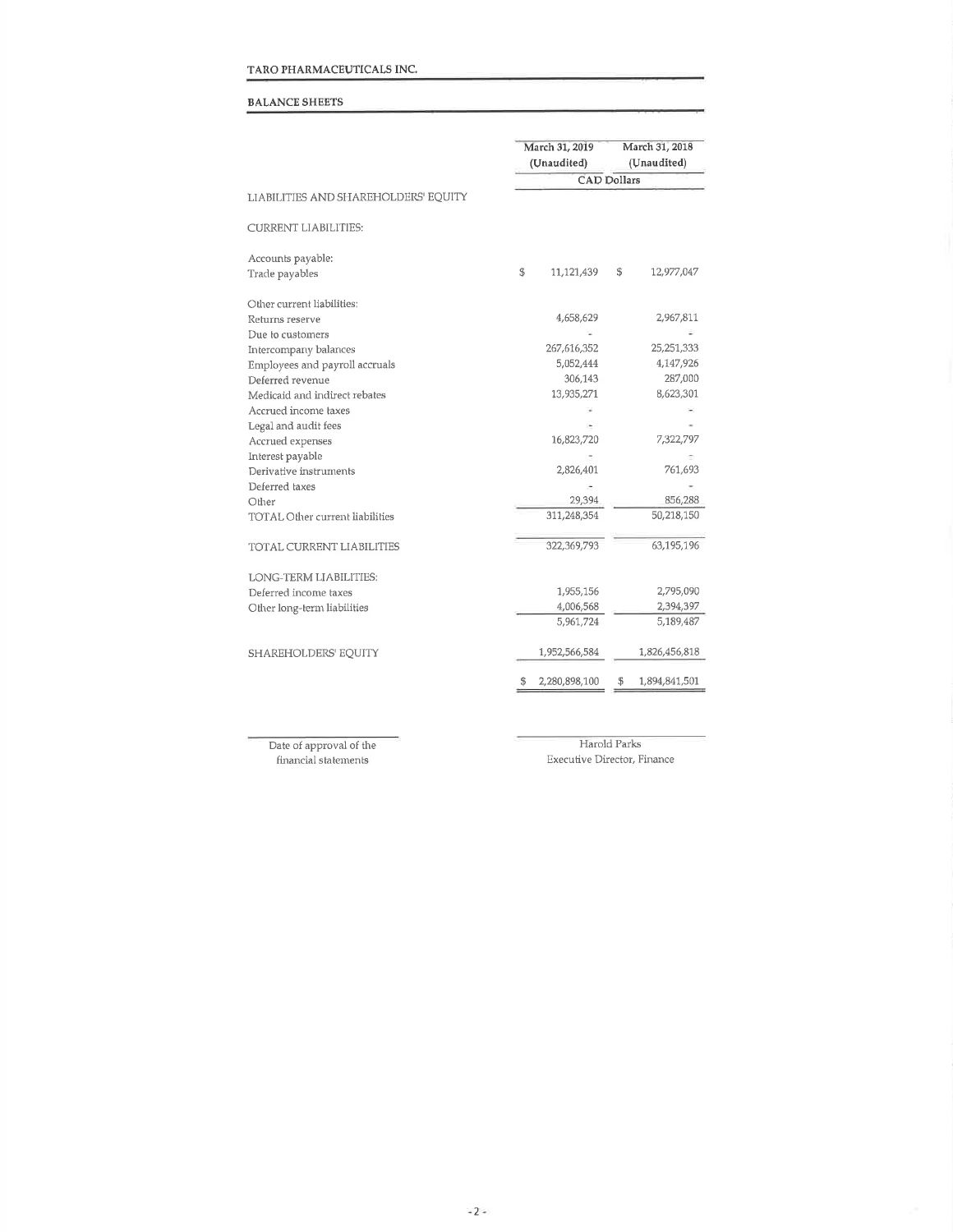## TARO PHARMACEUTICALS INC.

## BALANCE SHEETS

|                                        | March 31, 2019<br>(Unaudited) |               |                    | March 31, 2018<br>(Unaudited) |  |  |
|----------------------------------------|-------------------------------|---------------|--------------------|-------------------------------|--|--|
|                                        |                               |               | <b>CAD Dollars</b> |                               |  |  |
| LIABILITIES AND SHAREHOLDERS' EQUITY   |                               |               |                    |                               |  |  |
| <b>CURRENT LIABILITIES:</b>            |                               |               |                    |                               |  |  |
| Accounts payable:                      |                               |               |                    |                               |  |  |
| Trade payables                         | \$                            | 11,121,439    | \$                 | 12,977,047                    |  |  |
| Other current liabilities:             |                               |               |                    |                               |  |  |
| Returns reserve                        |                               | 4,658,629     |                    | 2,967,811                     |  |  |
| Due to customers                       |                               |               |                    |                               |  |  |
| Intercompany balances                  |                               | 267,616,352   | 25,251,333         |                               |  |  |
| Employees and payroll accruals         |                               | 5,052,444     | 4,147,926          |                               |  |  |
| Deferred revenue                       |                               | 306,143       |                    | 287,000                       |  |  |
| Medicaid and indirect rebates          |                               | 13,935,271    |                    | 8,623,301                     |  |  |
| Accrued income taxes                   |                               |               |                    |                               |  |  |
| Legal and audit fees                   |                               |               |                    |                               |  |  |
| Accrued expenses                       |                               | 16,823,720    |                    | 7,322,797                     |  |  |
| Interest payable                       |                               |               |                    |                               |  |  |
| Derivative instruments                 |                               | 2,826,401     | 761,693            |                               |  |  |
| Deferred taxes                         |                               |               |                    |                               |  |  |
| Other                                  |                               | 29,394        | 856,288            |                               |  |  |
| <b>TOTAL Other current liabilities</b> |                               | 311,248,354   |                    | 50,218,150                    |  |  |
| <b>TOTAL CURRENT LIABILITIES</b>       |                               | 322,369,793   |                    | 63,195,196                    |  |  |
| LONG-TERM LIABILITIES:                 |                               |               |                    |                               |  |  |
| Deferred income taxes                  |                               | 1,955,156     |                    | 2,795,090                     |  |  |
| Other long-term liabilities            |                               | 4,006,568     |                    | 2,394,397                     |  |  |
|                                        |                               | 5,961,724     |                    | 5,189,487                     |  |  |
| SHAREHOLDERS' EQUITY                   |                               | 1,952,566,584 |                    | 1,826,456,818                 |  |  |
|                                        | \$                            | 2,280,898,100 | \$                 | 1,894,841,501                 |  |  |

Date of approval of the financial staternents

Harold Parks Executive Director, Finance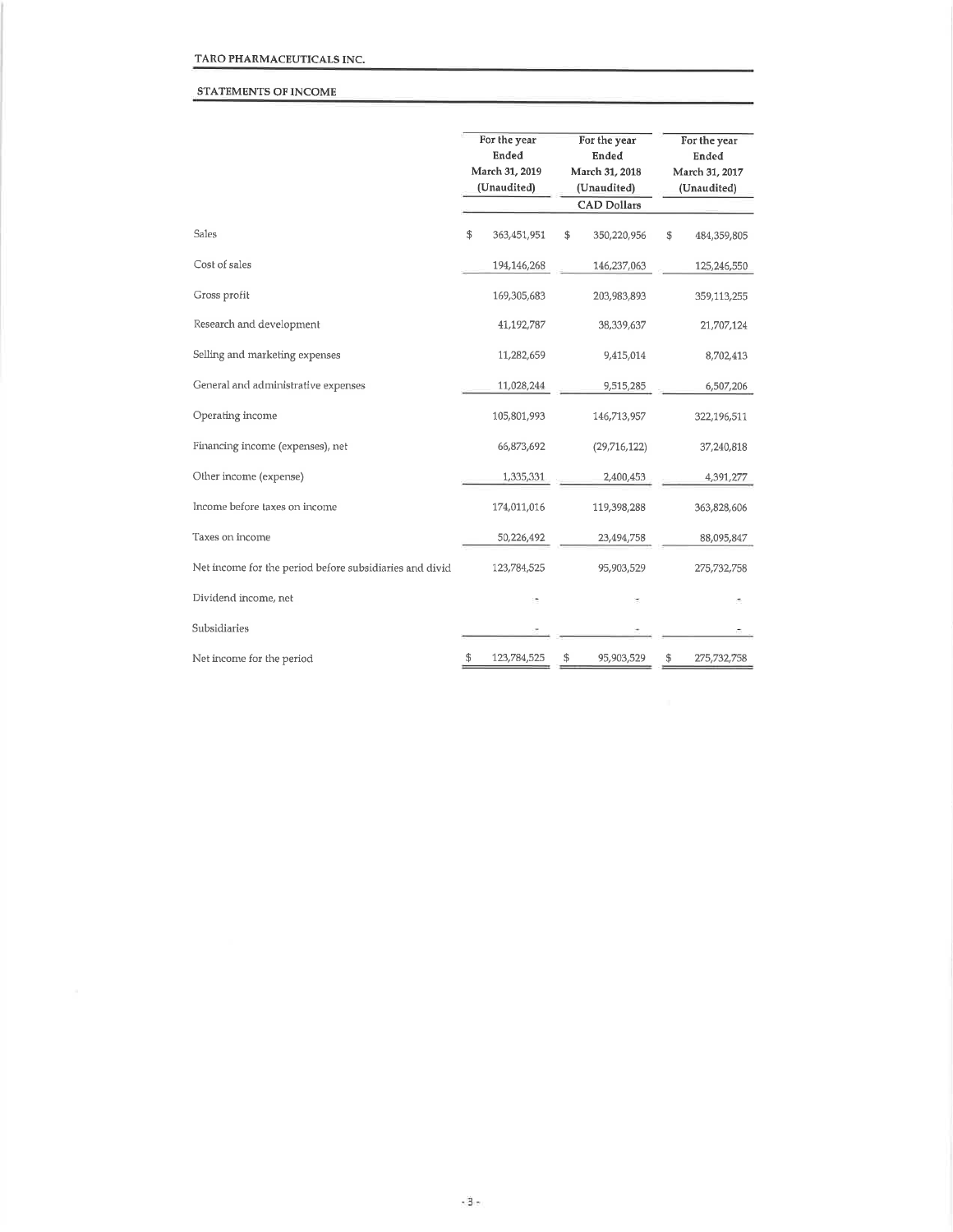## STATEMENTS OF INCOME

|                                                         | For the year<br>For the year<br>Ended<br>Ended<br>March 31, 2019<br>March 31, 2018<br>(Unaudited)<br>(Unaudited)<br><b>CAD Dollars</b> |    |              | For the year<br>Ended<br>March 31, 2017<br>(Unaudited) |             |  |
|---------------------------------------------------------|----------------------------------------------------------------------------------------------------------------------------------------|----|--------------|--------------------------------------------------------|-------------|--|
| Sales                                                   | \$<br>363,451,951                                                                                                                      | \$ | 350,220,956  | \$                                                     | 484,359,805 |  |
| Cost of sales                                           | 194,146,268                                                                                                                            |    | 146,237,063  |                                                        | 125,246,550 |  |
| Gross profit                                            | 169,305,683                                                                                                                            |    | 203,983,893  |                                                        | 359,113,255 |  |
| Research and development                                | 41,192,787                                                                                                                             |    | 38,339,637   |                                                        | 21,707,124  |  |
| Selling and marketing expenses                          | 11,282,659                                                                                                                             |    | 9,415,014    |                                                        | 8,702,413   |  |
| General and administrative expenses                     | 11,028,244                                                                                                                             |    | 9,515,285    |                                                        | 6,507,206   |  |
| Operating income                                        | 105,801,993                                                                                                                            |    | 146,713,957  |                                                        | 322,196,511 |  |
| Financing income (expenses), net                        | 66,873,692                                                                                                                             |    | (29,716,122) |                                                        | 37,240,818  |  |
| Other income (expense)                                  | 1,335,331                                                                                                                              |    | 2,400,453    |                                                        | 4,391,277   |  |
| Income before taxes on income                           | 174,011,016                                                                                                                            |    | 119,398,288  |                                                        | 363,828,606 |  |
| Taxes on income                                         | 50,226,492                                                                                                                             |    | 23,494,758   |                                                        | 88,095,847  |  |
| Net income for the period before subsidiaries and divid | 123,784,525                                                                                                                            |    | 95,903,529   |                                                        | 275,732,758 |  |
| Dividend income, net                                    |                                                                                                                                        |    |              |                                                        |             |  |
| Subsidiaries                                            |                                                                                                                                        |    |              |                                                        |             |  |
| Net income for the period                               | \$<br>123,784,525                                                                                                                      | \$ | 95,903,529   | \$                                                     | 275,732,758 |  |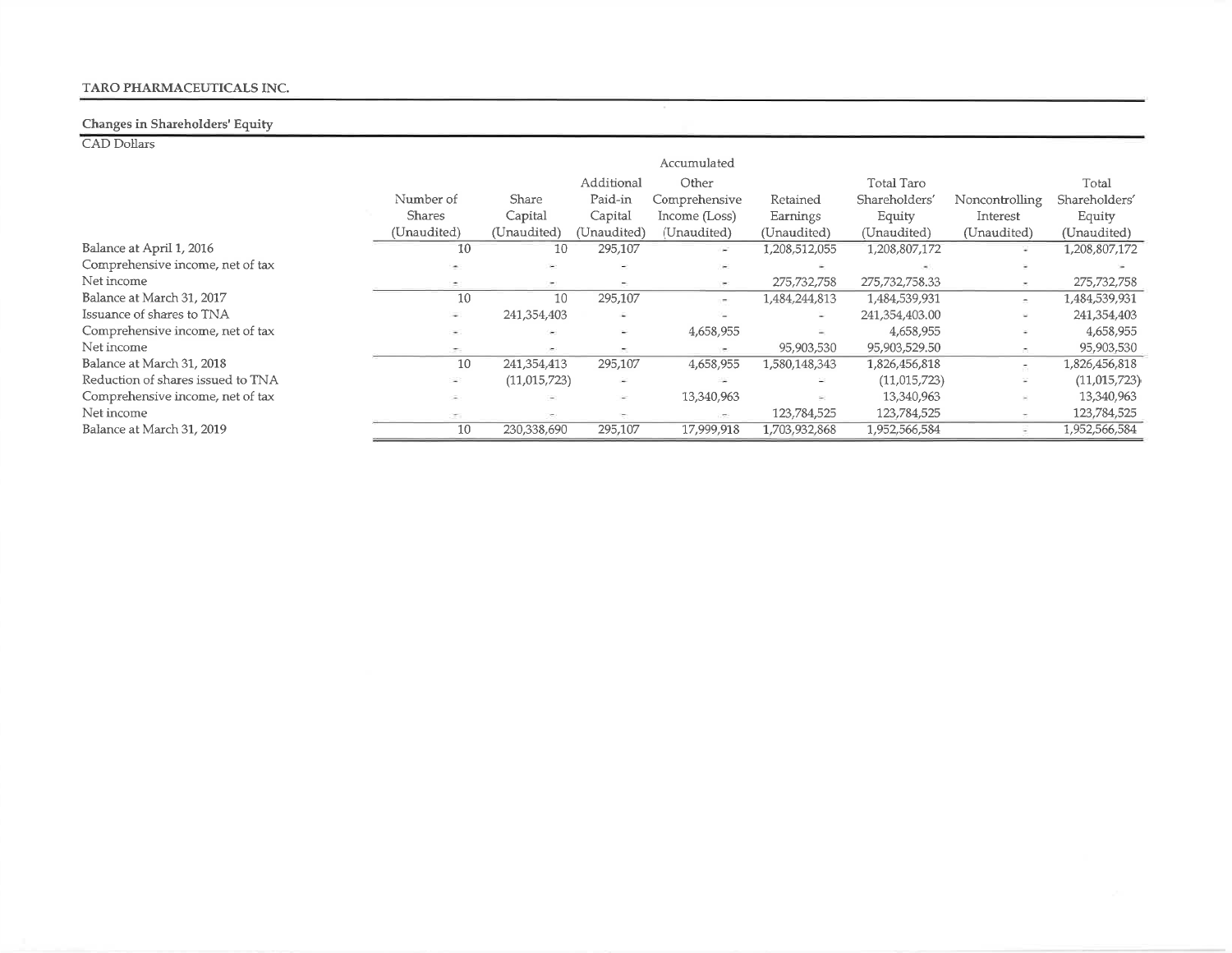# TARO PHARMACEUTICALS INC.

#### Changes in Shareholders' Equity

CAD Dollars

|                                   |                          |              |                          | Accumulated   |               |                |                          |                |
|-----------------------------------|--------------------------|--------------|--------------------------|---------------|---------------|----------------|--------------------------|----------------|
|                                   |                          |              | Additional               | Other         |               | Total Taro     |                          | Total          |
|                                   | Number of                | Share        | Paid-in                  | Comprehensive | Retained      | Shareholders'  | Noncontrolling           | Shareholders'  |
|                                   | <b>Shares</b>            | Capital      | Capital                  | Income (Loss) | Earnings      | Equity         | Interest                 | Equity         |
|                                   | (Unaudited)              | (Unaudited)  | (Unaudited)              | (Unaudited)   | (Unaudited)   | (Unaudited)    | (Unaudited)              | (Unaudited)    |
| Balance at April 1, 2016          | 10                       | 10           | 295,107                  | i post        | 1,208,512,055 | 1,208,807,172  | ٠                        | 1,208,807,172  |
| Comprehensive income, net of tax  |                          |              |                          |               |               |                |                          |                |
| Net income                        | $\overline{\phantom{a}}$ | $\sim$       | $\overline{\phantom{a}}$ | $\sim$        | 275,732,758   | 275,732,758.33 | ×                        | 275,732,758    |
| Balance at March 31, 2017         | 10                       | 10           | 295,107                  | in 1          | 1,484,244,813 | 1,484,539,931  | $\overline{\phantom{a}}$ | 1,484,539,931  |
| Issuance of shares to TNA         | $\overline{\phantom{a}}$ | 241,354,403  | ÷                        | n.            | $\sim$        | 241,354,403.00 | Ξ                        | 241,354,403    |
| Comprehensive income, net of tax  | $\overline{\phantom{a}}$ | $\sim$       | $\sim$                   | 4,658,955     |               | 4,658,955      | Ξ                        | 4,658,955      |
| Net income                        | ÷.                       | $\sim$ 1     | $\overline{\phantom{a}}$ |               | 95,903,530    | 95,903,529.50  | ÷                        | 95,903,530     |
| Balance at March 31, 2018         | 10                       | 241,354,413  | 295,107                  | 4,658,955     | 1,580,148,343 | 1,826,456,818  | ā.                       | 1,826,456,818  |
| Reduction of shares issued to TNA | ÷.                       | (11,015,723) | $\sim$                   |               |               | (11,015,723)   | ¥                        | (11, 015, 723) |
| Comprehensive income, net of tax  | $\overline{\phantom{a}}$ | $\sim$       | ÷.                       | 13,340,963    | ×,            | 13,340,963     | ÷                        | 13,340,963     |
| Net income                        | ÷                        | ×.           |                          | $\,$          | 123,784,525   | 123,784,525    |                          | 123,784,525    |
| Balance at March 31, 2019         | 10                       | 230,338,690  | 295,107                  | 17,999,918    | 1,703,932,868 | 1,952,566,584  |                          | 1,952,566,584  |